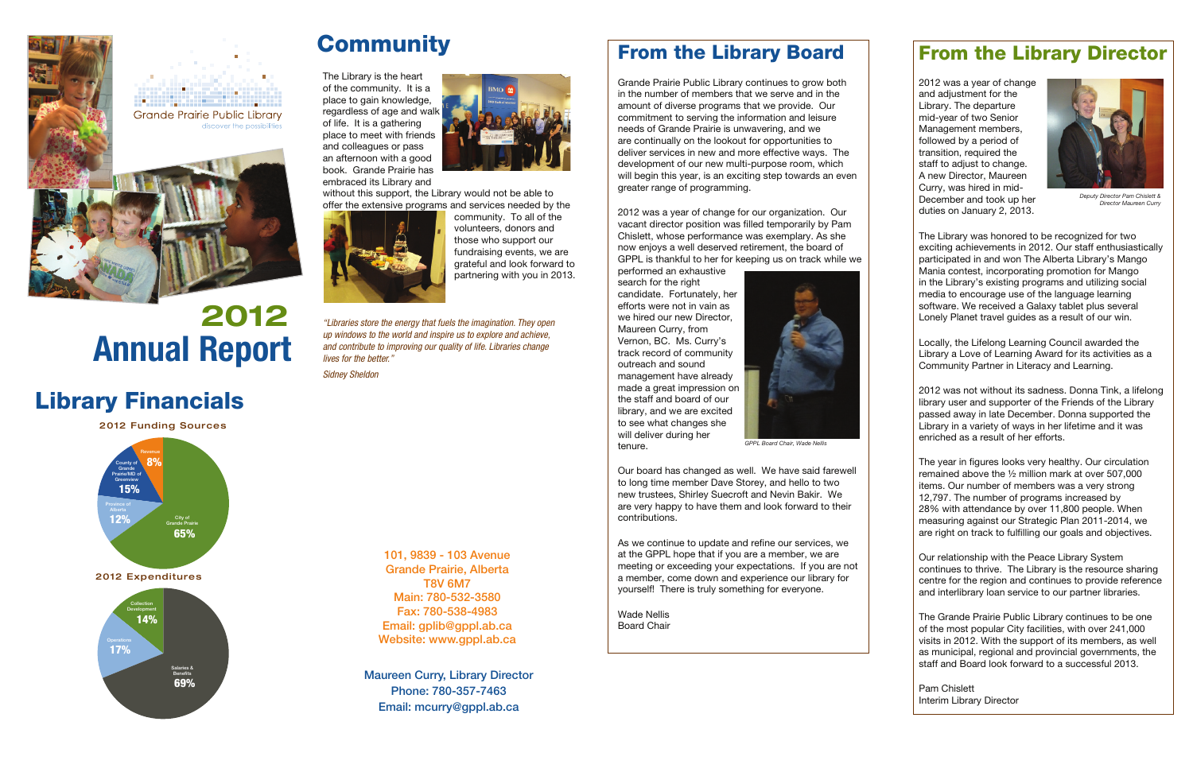Grande Prairie Public Library continues to grow both in the number of members that we serve and in the amount of diverse programs that we provide. Our commitment to serving the information and leisure needs of Grande Prairie is unwavering, and we are continually on the lookout for opportunities to deliver services in new and more effective ways. The development of our new multi-purpose room, which will begin this year, is an exciting step towards an even greater range of programming.

2012 was a year of change for our organization. Our vacant director position was filled temporarily by Pam Chislett, whose performance was exemplary. As she now enjoys a well deserved retirement, the board of GPPL is thankful to her for keeping us on track while we

As we continue to update and refine our services, we at the GPPL hope that if you are a member, we are meeting or exceeding your expectations. If you are not a member, come down and experience our library for yourself! There is truly something for everyone.

performed an exhaustive search for the right candidate. Fortunately, her efforts were not in vain as we hired our new Director, Maureen Curry, from Vernon, BC. Ms. Curry's track record of community outreach and sound management have already made a great impression on the staff and board of our library, and we are excited to see what changes she will deliver during her tenure.

Our board has changed as well. We have said farewell to long time member Dave Storey, and hello to two new trustees, Shirley Suecroft and Nevin Bakir. We are very happy to have them and look forward to their contributions.

Wade NellisBoard Chair

### **From the Library Board From the Library Director**

2012 was a year of change and adjustment for the Library. The departure mid-year of two Senior Management members, followed by a period of transition, required the staff to adjust to change. A new Director, Maureen Curry, was hired in mid-December and took up her duties on January 2, 2013.

The Library was honored to be recognized for two exciting achievements in 2012. Our staff enthusiastically participated in and won The Alberta Library's Mango Mania contest, incorporating promotion for Mango in the Library's existing programs and utilizing social media to encourage use of the language learning software. We received a Galaxy tablet plus several Lonely Planet travel guides as a result of our win.

Locally, the Lifelong Learning Council awarded the Library a Love of Learning Award for its activities as a Community Partner in Literacy and Learning.

2012 was not without its sadness. Donna Tink, a lifelong library user and supporter of the Friends of the Library passed away in late December. Donna supported the Library in a variety of ways in her lifetime and it was enriched as a result of her efforts.

The year in figures looks very healthy. Our circulation remained above the ½ million mark at over 507,000 items. Our number of members was a very strong 12,797. The number of programs increased by 28% with attendance by over 11,800 people. When measuring against our Strategic Plan 2011-2014, we are right on track to fulfilling our goals and objectives.

Our relationship with the Peace Library System continues to thrive. The Library is the resource sharing centre for the region and continues to provide reference and interlibrary loan service to our partner libraries.

The Grande Prairie Public Library continues to be one of the most popular City facilities, with over 241,000 visits in 2012. With the support of its members, as well as municipal, regional and provincial governments, the staff and Board look forward to a successful 2013.

Pam Chislett Interim Library Director

Maureen Curry, Library Director Phone: 780-357-7463Email: mcurry@gppl.ab.ca

101, 9839 - 103 Avenue Grande Prairie, Alberta T8V 6M7 Main: 780-532-3580Fax: 780-538-4983 Email: gplib@gppl.ab.ca Website: www.gppl.ab.ca





*Deputy Director Pam Chislett & Director Maureen Curry*

## **Library Financials**

**2012 Funding Sources**



**2012 Expenditures**



## **Community**

The Library is the heart of the community. It is a place to gain knowledge, regardless of age and walk of life. It is a gathering place to meet with friends and colleagues or pass an afternoon with a good book. Grande Prairie has embraced its Library and



without this support, the Library would not be able to offer the extensive programs and services needed by the



community. To all of the volunteers, donors and those who support our fundraising events, we are grateful and look forward to partnering with you in 2013.

*"Libraries store the energy that fuels the imagination. They open up windows to the world and inspire us to explore and achieve, and contribute to improving our quality of life. Libraries change lives for the better."*

*Sidney Sheldon*





## **Annual Report 2012**